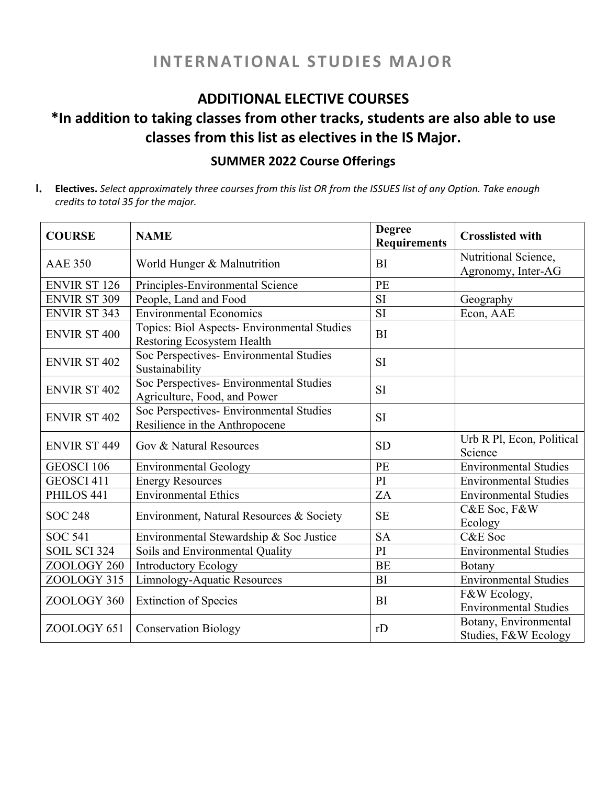## **INTERNATIONAL STUDIES MAJOR**

### **ADDITIONAL ELECTIVE COURSES**

# **\*In addition to taking classes from other tracks, students are also able to use classes from this list as electives in the IS Major.**

#### **SUMMER 2022 Course Offerings**

1. Electives. Select approximately three courses from this list OR from the ISSUES list of any Option. Take enough *credits to total 35 for the major.*

| <b>COURSE</b>       | <b>NAME</b>                                                               | <b>Degree</b><br><b>Requirements</b> | <b>Crosslisted with</b>                       |
|---------------------|---------------------------------------------------------------------------|--------------------------------------|-----------------------------------------------|
| <b>AAE 350</b>      | World Hunger & Malnutrition                                               | <b>BI</b>                            | Nutritional Science,<br>Agronomy, Inter-AG    |
| <b>ENVIR ST 126</b> | Principles-Environmental Science                                          | PE                                   |                                               |
| <b>ENVIR ST 309</b> | People, Land and Food                                                     | SI                                   | Geography                                     |
| <b>ENVIR ST 343</b> | <b>Environmental Economics</b>                                            | SI                                   | Econ, AAE                                     |
| <b>ENVIR ST 400</b> | Topics: Biol Aspects- Environmental Studies<br>Restoring Ecosystem Health | <b>BI</b>                            |                                               |
| <b>ENVIR ST 402</b> | Soc Perspectives- Environmental Studies<br>Sustainability                 | SI                                   |                                               |
| <b>ENVIR ST 402</b> | Soc Perspectives- Environmental Studies<br>Agriculture, Food, and Power   | <b>SI</b>                            |                                               |
| <b>ENVIR ST 402</b> | Soc Perspectives- Environmental Studies<br>Resilience in the Anthropocene | <b>SI</b>                            |                                               |
| <b>ENVIR ST 449</b> | Gov & Natural Resources                                                   | <b>SD</b>                            | Urb R Pl, Econ, Political<br>Science          |
| <b>GEOSCI 106</b>   | <b>Environmental Geology</b>                                              | PE                                   | <b>Environmental Studies</b>                  |
| GEOSCI 411          | <b>Energy Resources</b>                                                   | PI                                   | <b>Environmental Studies</b>                  |
| PHILOS 441          | <b>Environmental Ethics</b>                                               | ZA                                   | <b>Environmental Studies</b>                  |
| <b>SOC 248</b>      | Environment, Natural Resources & Society                                  | <b>SE</b>                            | C&E Soc, F&W<br>Ecology                       |
| <b>SOC 541</b>      | Environmental Stewardship & Soc Justice                                   | <b>SA</b>                            | C&E Soc                                       |
| <b>SOIL SCI 324</b> | Soils and Environmental Quality                                           | PI                                   | <b>Environmental Studies</b>                  |
| ZOOLOGY 260         | <b>Introductory Ecology</b>                                               | <b>BE</b>                            | Botany                                        |
| ZOOLOGY 315         | Limnology-Aquatic Resources                                               | <b>BI</b>                            | <b>Environmental Studies</b>                  |
| ZOOLOGY 360         | <b>Extinction of Species</b>                                              | <b>BI</b>                            | F&W Ecology,<br><b>Environmental Studies</b>  |
| ZOOLOGY 651         | <b>Conservation Biology</b>                                               | rD                                   | Botany, Environmental<br>Studies, F&W Ecology |